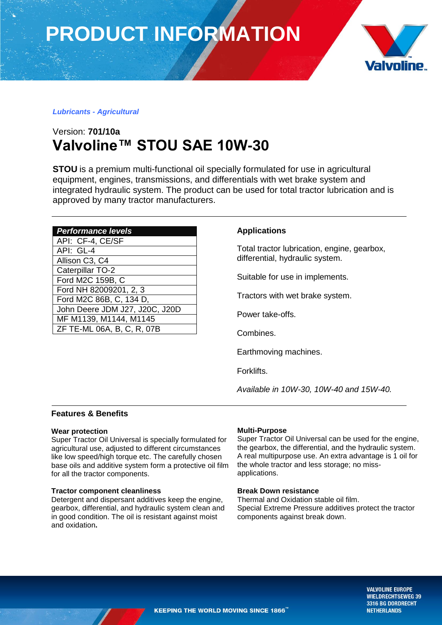**PRODUCT INFORMATION**



# *Lubricants - Agricultural*

# Version: **701/10a Valvoline™ STOU SAE 10W-30**

**STOU** is a premium multi-functional oil specially formulated for use in agricultural equipment, engines, transmissions, and differentials with wet brake system and integrated hydraulic system. The product can be used for total tractor lubrication and is approved by many tractor manufacturers.

| <b>Performance levels</b>      |
|--------------------------------|
| API: CF-4, CE/SF               |
| API: GL-4                      |
| Allison C3, C4                 |
| <b>Caterpillar TO-2</b>        |
| Ford M2C 159B, C               |
| Ford NH 82009201, 2, 3         |
| Ford M2C 86B, C, 134 D,        |
| John Deere JDM J27, J20C, J20D |
| MF M1139, M1144, M1145         |
| ZF TE-ML 06A, B, C, R, 07B     |

### **Applications**

Total tractor lubrication, engine, gearbox, differential, hydraulic system.

Suitable for use in implements.

Tractors with wet brake system.

Power take-offs.

Combines.

Earthmoving machines.

Forklifts.

*Available in 10W-30, 10W-40 and 15W-40.*

## **Features & Benefits**

### **Wear protection**

Super Tractor Oil Universal is specially formulated for agricultural use, adjusted to different circumstances like low speed/high torque etc. The carefully chosen base oils and additive system form a protective oil film for all the tractor components.

### **Tractor component cleanliness**

Detergent and dispersant additives keep the engine, gearbox, differential, and hydraulic system clean and in good condition. The oil is resistant against moist and oxidation**.**

### **Multi-Purpose**

Super Tractor Oil Universal can be used for the engine, the gearbox, the differential, and the hydraulic system. A real multipurpose use. An extra advantage is 1 oil for the whole tractor and less storage; no missapplications.

### **Break Down resistance**

Thermal and Oxidation stable oil film. Special Extreme Pressure additives protect the tractor components against break down.

> **VALVOLINE EUROPE WIELDRECHTSEWEG 39** 3316 BG DORDRECHT **NETHERLANDS**